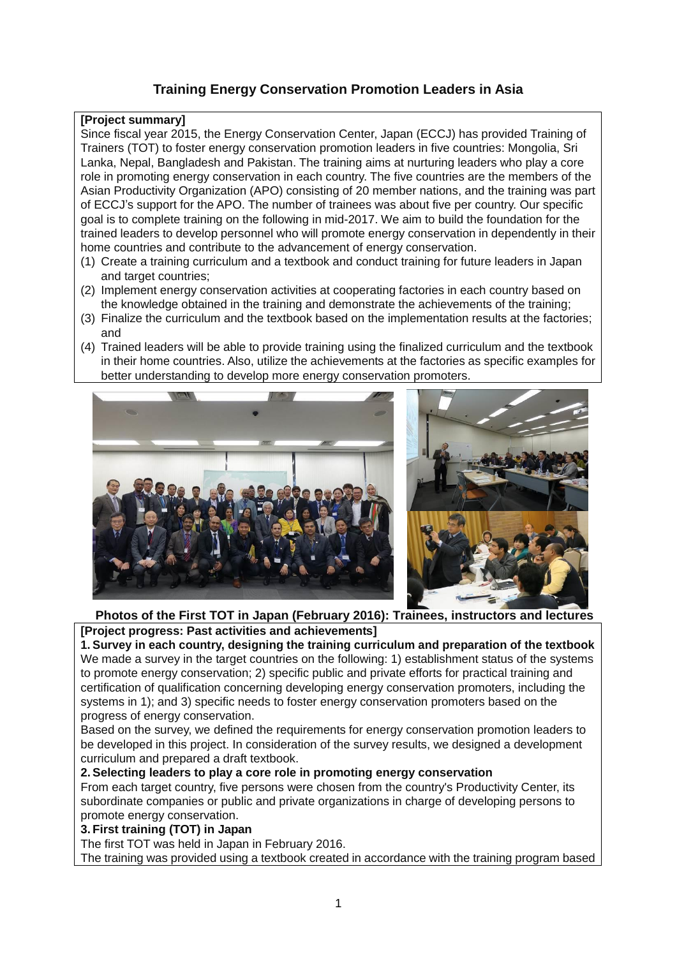# **Training Energy Conservation Promotion Leaders in Asia**

### **[Project summary]**

Since fiscal year 2015, the Energy Conservation Center, Japan (ECCJ) has provided Training of Trainers (TOT) to foster energy conservation promotion leaders in five countries: Mongolia, Sri Lanka, Nepal, Bangladesh and Pakistan. The training aims at nurturing leaders who play a core role in promoting energy conservation in each country. The five countries are the members of the Asian Productivity Organization (APO) consisting of 20 member nations, and the training was part of ECCJ's support for the APO. The number of trainees was about five per country. Our specific goal is to complete training on the following in mid-2017. We aim to build the foundation for the trained leaders to develop personnel who will promote energy conservation in dependently in their home countries and contribute to the advancement of energy conservation.

- (1) Create a training curriculum and a textbook and conduct training for future leaders in Japan and target countries;
- (2) Implement energy conservation activities at cooperating factories in each country based on the knowledge obtained in the training and demonstrate the achievements of the training;
- (3) Finalize the curriculum and the textbook based on the implementation results at the factories; and
- (4) Trained leaders will be able to provide training using the finalized curriculum and the textbook in their home countries. Also, utilize the achievements at the factories as specific examples for better understanding to develop more energy conservation promoters.



# **Photos of the First TOT in Japan (February 2016): Trainees, instructors and lectures [Project progress: Past activities and achievements]**

**1. Survey in each country, designing the training curriculum and preparation of the textbook** We made a survey in the target countries on the following: 1) establishment status of the systems to promote energy conservation; 2) specific public and private efforts for practical training and certification of qualification concerning developing energy conservation promoters, including the systems in 1); and 3) specific needs to foster energy conservation promoters based on the progress of energy conservation.

Based on the survey, we defined the requirements for energy conservation promotion leaders to be developed in this project. In consideration of the survey results, we designed a development curriculum and prepared a draft textbook.

### **2.Selecting leaders to play a core role in promoting energy conservation**

From each target country, five persons were chosen from the country's Productivity Center, its subordinate companies or public and private organizations in charge of developing persons to promote energy conservation.

### **3. First training (TOT) in Japan**

The first TOT was held in Japan in February 2016.

The training was provided using a textbook created in accordance with the training program based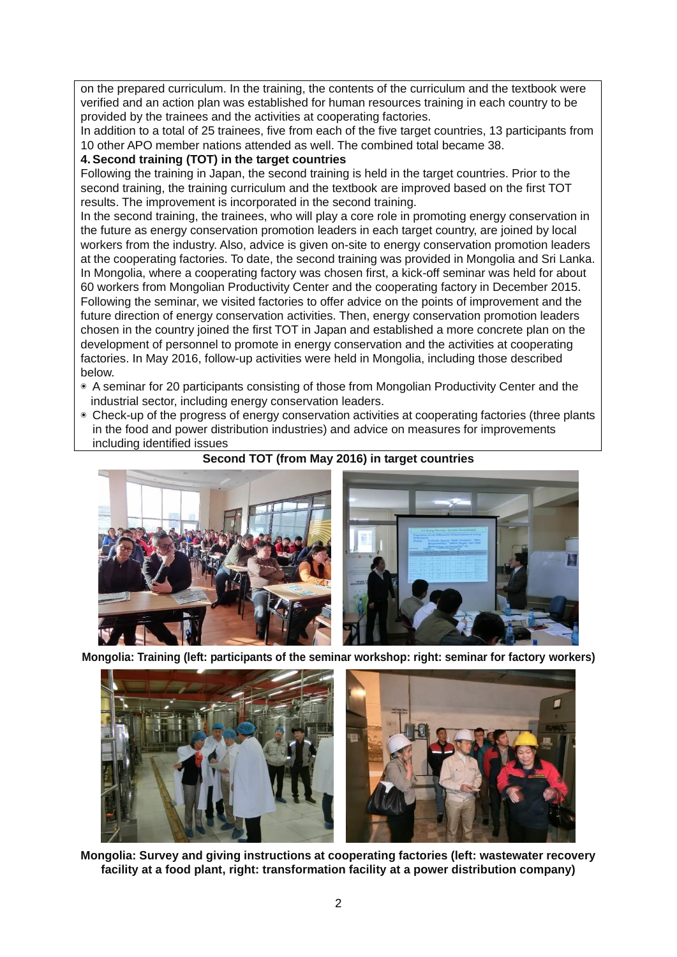on the prepared curriculum. In the training, the contents of the curriculum and the textbook were verified and an action plan was established for human resources training in each country to be provided by the trainees and the activities at cooperating factories.

In addition to a total of 25 trainees, five from each of the five target countries, 13 participants from 10 other APO member nations attended as well. The combined total became 38.

# **4.Second training (TOT) in the target countries**

Following the training in Japan, the second training is held in the target countries. Prior to the second training, the training curriculum and the textbook are improved based on the first TOT results. The improvement is incorporated in the second training.

In the second training, the trainees, who will play a core role in promoting energy conservation in the future as energy conservation promotion leaders in each target country, are joined by local workers from the industry. Also, advice is given on-site to energy conservation promotion leaders at the cooperating factories. To date, the second training was provided in Mongolia and Sri Lanka. In Mongolia, where a cooperating factory was chosen first, a kick-off seminar was held for about 60 workers from Mongolian Productivity Center and the cooperating factory in December 2015. Following the seminar, we visited factories to offer advice on the points of improvement and the future direction of energy conservation activities. Then, energy conservation promotion leaders chosen in the country joined the first TOT in Japan and established a more concrete plan on the development of personnel to promote in energy conservation and the activities at cooperating factories. In May 2016, follow-up activities were held in Mongolia, including those described below.

- ◉ A seminar for 20 participants consisting of those from Mongolian Productivity Center and the industrial sector, including energy conservation leaders.
- ◉ Check-up of the progress of energy conservation activities at cooperating factories (three plants in the food and power distribution industries) and advice on measures for improvements including identified issues





**Mongolia: Training (left: participants of the seminar workshop: right: seminar for factory workers)**



**Mongolia: Survey and giving instructions at cooperating factories (left: wastewater recovery facility at a food plant, right: transformation facility at a power distribution company)**